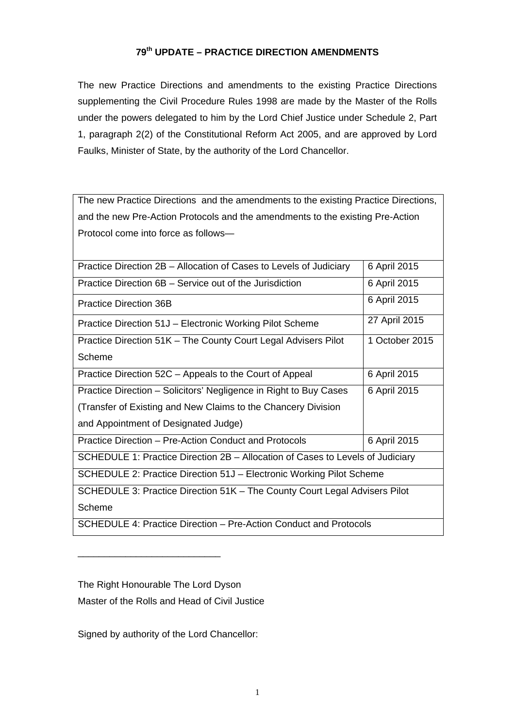# **79th UPDATE – PRACTICE DIRECTION AMENDMENTS**

The new Practice Directions and amendments to the existing Practice Directions supplementing the Civil Procedure Rules 1998 are made by the Master of the Rolls under the powers delegated to him by the Lord Chief Justice under Schedule 2, Part 1, paragraph 2(2) of the Constitutional Reform Act 2005, and are approved by Lord Faulks, Minister of State, by the authority of the Lord Chancellor.

The new Practice Directions and the amendments to the existing Practice Directions, and the new Pre-Action Protocols and the amendments to the existing Pre-Action Protocol come into force as follows—

| Practice Direction 2B – Allocation of Cases to Levels of Judiciary             | 6 April 2015   |  |
|--------------------------------------------------------------------------------|----------------|--|
| Practice Direction 6B – Service out of the Jurisdiction                        | 6 April 2015   |  |
| <b>Practice Direction 36B</b>                                                  | 6 April 2015   |  |
| Practice Direction 51J - Electronic Working Pilot Scheme                       | 27 April 2015  |  |
| Practice Direction 51K - The County Court Legal Advisers Pilot                 | 1 October 2015 |  |
| Scheme                                                                         |                |  |
| Practice Direction 52C – Appeals to the Court of Appeal                        | 6 April 2015   |  |
| Practice Direction – Solicitors' Negligence in Right to Buy Cases              | 6 April 2015   |  |
| (Transfer of Existing and New Claims to the Chancery Division                  |                |  |
| and Appointment of Designated Judge)                                           |                |  |
| Practice Direction – Pre-Action Conduct and Protocols                          | 6 April 2015   |  |
| SCHEDULE 1: Practice Direction 2B – Allocation of Cases to Levels of Judiciary |                |  |
| SCHEDULE 2: Practice Direction 51J - Electronic Working Pilot Scheme           |                |  |
| SCHEDULE 3: Practice Direction 51K - The County Court Legal Advisers Pilot     |                |  |
| Scheme                                                                         |                |  |
| SCHEDULE 4: Practice Direction - Pre-Action Conduct and Protocols              |                |  |

The Right Honourable The Lord Dyson

\_\_\_\_\_\_\_\_\_\_\_\_\_\_\_\_\_\_\_\_\_\_\_\_\_\_\_

Master of the Rolls and Head of Civil Justice

Signed by authority of the Lord Chancellor: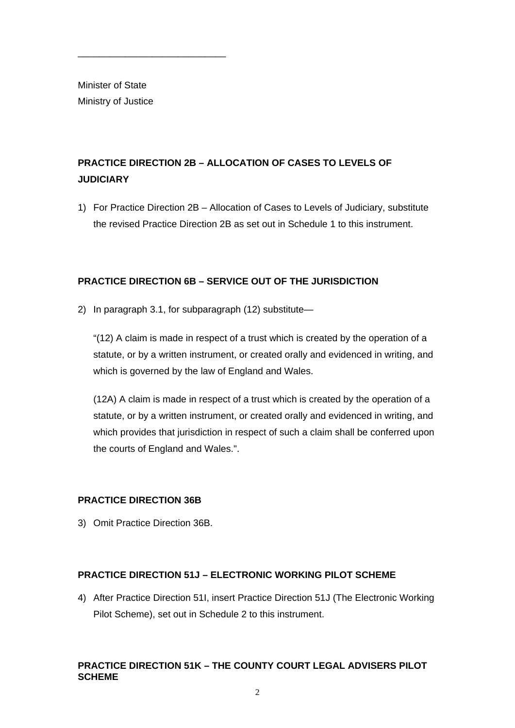Minister of State Ministry of Justice

\_\_\_\_\_\_\_\_\_\_\_\_\_\_\_\_\_\_\_\_\_\_\_\_\_\_\_\_

# **PRACTICE DIRECTION 2B – ALLOCATION OF CASES TO LEVELS OF JUDICIARY**

1) For Practice Direction 2B – Allocation of Cases to Levels of Judiciary, substitute the revised Practice Direction 2B as set out in Schedule 1 to this instrument.

### **PRACTICE DIRECTION 6B – SERVICE OUT OF THE JURISDICTION**

2) In paragraph 3.1, for subparagraph (12) substitute—

"(12) A claim is made in respect of a trust which is created by the operation of a statute, or by a written instrument, or created orally and evidenced in writing, and which is governed by the law of England and Wales.

(12A) A claim is made in respect of a trust which is created by the operation of a statute, or by a written instrument, or created orally and evidenced in writing, and which provides that jurisdiction in respect of such a claim shall be conferred upon the courts of England and Wales.".

#### **PRACTICE DIRECTION 36B**

3) Omit Practice Direction 36B.

### **PRACTICE DIRECTION 51J – ELECTRONIC WORKING PILOT SCHEME**

4) After Practice Direction 51I, insert Practice Direction 51J (The Electronic Working Pilot Scheme), set out in Schedule 2 to this instrument.

# **PRACTICE DIRECTION 51K – THE COUNTY COURT LEGAL ADVISERS PILOT SCHEME**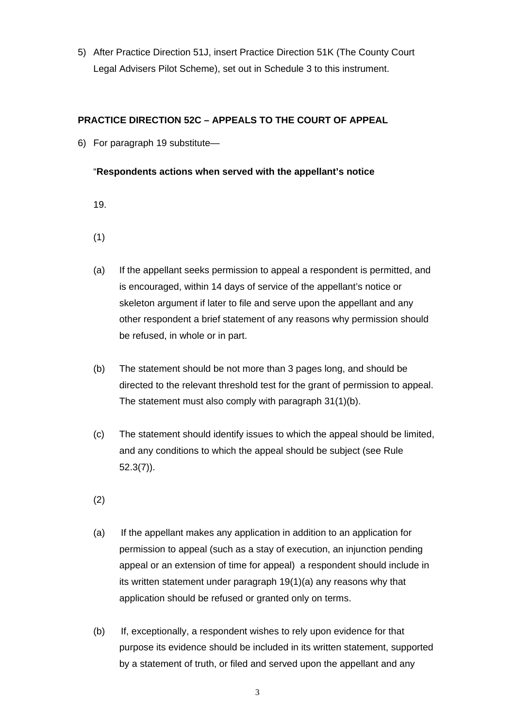5) After Practice Direction 51J, insert Practice Direction 51K (The County Court Legal Advisers Pilot Scheme), set out in Schedule 3 to this instrument.

# **PRACTICE DIRECTION 52C – APPEALS TO THE COURT OF APPEAL**

6) For paragraph 19 substitute—

"**Respondents actions when served with the appellant's notice** 

- 19.
- (1)
- (a) If the appellant seeks permission to appeal a respondent is permitted, and is encouraged, within 14 days of service of the appellant's notice or skeleton argument if later to file and serve upon the appellant and any other respondent a brief statement of any reasons why permission should be refused, in whole or in part.
- (b) The statement should be not more than 3 pages long, and should be directed to the relevant threshold test for the grant of permission to appeal. The statement must also comply with paragraph 31(1)(b).
- (c) The statement should identify issues to which the appeal should be limited, and any conditions to which the appeal should be subject (see Rule 52.3(7)).
- (2)
- (a) If the appellant makes any application in addition to an application for permission to appeal (such as a stay of execution, an injunction pending appeal or an extension of time for appeal) a respondent should include in its written statement under paragraph 19(1)(a) any reasons why that application should be refused or granted only on terms.
- (b) If, exceptionally, a respondent wishes to rely upon evidence for that purpose its evidence should be included in its written statement, supported by a statement of truth, or filed and served upon the appellant and any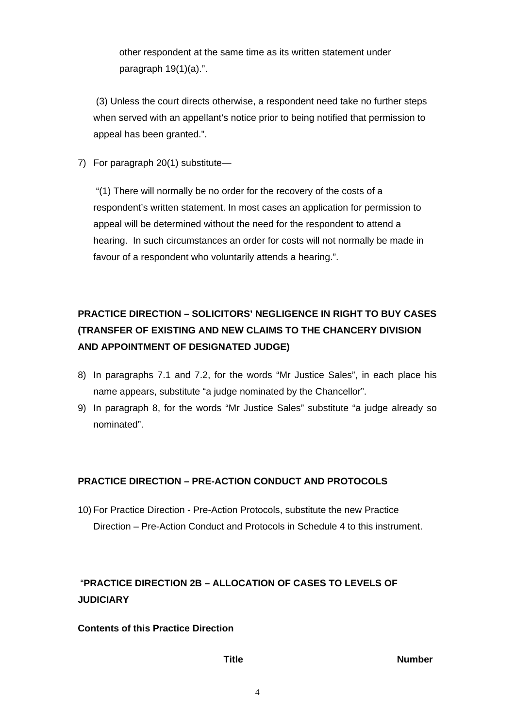other respondent at the same time as its written statement under paragraph 19(1)(a).".

 (3) Unless the court directs otherwise, a respondent need take no further steps when served with an appellant's notice prior to being notified that permission to appeal has been granted.".

7) For paragraph 20(1) substitute—

 "(1) There will normally be no order for the recovery of the costs of a respondent's written statement. In most cases an application for permission to appeal will be determined without the need for the respondent to attend a hearing. In such circumstances an order for costs will not normally be made in favour of a respondent who voluntarily attends a hearing.".

# **PRACTICE DIRECTION – SOLICITORS' NEGLIGENCE IN RIGHT TO BUY CASES (TRANSFER OF EXISTING AND NEW CLAIMS TO THE CHANCERY DIVISION AND APPOINTMENT OF DESIGNATED JUDGE)**

- 8) In paragraphs 7.1 and 7.2, for the words "Mr Justice Sales", in each place his name appears, substitute "a judge nominated by the Chancellor".
- 9) In paragraph 8, for the words "Mr Justice Sales" substitute "a judge already so nominated".

# **PRACTICE DIRECTION – PRE-ACTION CONDUCT AND PROTOCOLS**

10) For Practice Direction - Pre-Action Protocols, substitute the new Practice Direction – Pre-Action Conduct and Protocols in Schedule 4 to this instrument.

# "**PRACTICE DIRECTION 2B – ALLOCATION OF CASES TO LEVELS OF JUDICIARY**

### **Contents of this Practice Direction**

#### **Title Number**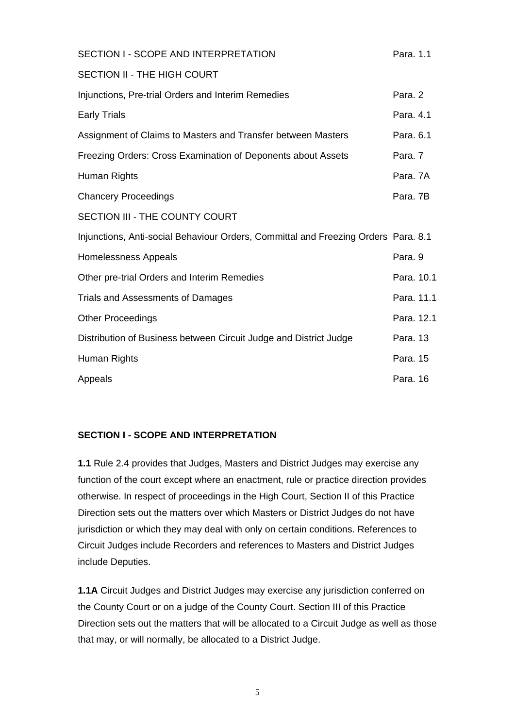| SECTION I - SCOPE AND INTERPRETATION                                               | Para, 1.1  |
|------------------------------------------------------------------------------------|------------|
| SECTION II - THE HIGH COURT                                                        |            |
| Injunctions, Pre-trial Orders and Interim Remedies                                 | Para. 2    |
| <b>Early Trials</b>                                                                | Para, 4.1  |
| Assignment of Claims to Masters and Transfer between Masters                       | Para. 6.1  |
| Freezing Orders: Cross Examination of Deponents about Assets                       | Para. 7    |
| Human Rights                                                                       | Para. 7A   |
| <b>Chancery Proceedings</b>                                                        | Para. 7B   |
| SECTION III - THE COUNTY COURT                                                     |            |
| Injunctions, Anti-social Behaviour Orders, Committal and Freezing Orders Para. 8.1 |            |
| <b>Homelessness Appeals</b>                                                        | Para. 9    |
| Other pre-trial Orders and Interim Remedies                                        | Para. 10.1 |
| Trials and Assessments of Damages                                                  | Para. 11.1 |
| <b>Other Proceedings</b>                                                           | Para. 12.1 |
| Distribution of Business between Circuit Judge and District Judge                  | Para. 13   |
| Human Rights                                                                       | Para. 15   |
| Appeals                                                                            | Para. 16   |

#### **SECTION I - SCOPE AND INTERPRETATION**

**1.1** Rule 2.4 provides that Judges, Masters and District Judges may exercise any function of the court except where an enactment, rule or practice direction provides otherwise. In respect of proceedings in the High Court, Section II of this Practice Direction sets out the matters over which Masters or District Judges do not have jurisdiction or which they may deal with only on certain conditions. References to Circuit Judges include Recorders and references to Masters and District Judges include Deputies.

**1.1A** Circuit Judges and District Judges may exercise any jurisdiction conferred on the County Court or on a judge of the County Court. Section III of this Practice Direction sets out the matters that will be allocated to a Circuit Judge as well as those that may, or will normally, be allocated to a District Judge.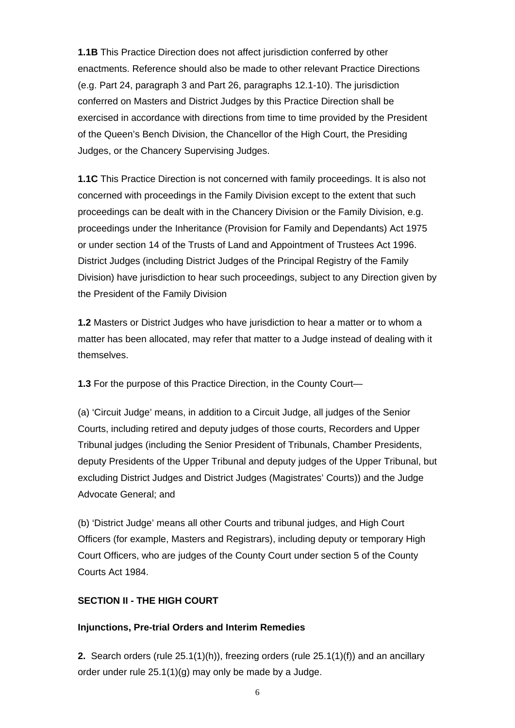**1.1B** This Practice Direction does not affect jurisdiction conferred by other enactments. Reference should also be made to other relevant Practice Directions (e.g. Part 24, paragraph 3 and Part 26, paragraphs 12.1-10). The jurisdiction conferred on Masters and District Judges by this Practice Direction shall be exercised in accordance with directions from time to time provided by the President of the Queen's Bench Division, the Chancellor of the High Court, the Presiding Judges, or the Chancery Supervising Judges.

**1.1C** This Practice Direction is not concerned with family proceedings. It is also not concerned with proceedings in the Family Division except to the extent that such proceedings can be dealt with in the Chancery Division or the Family Division, e.g. proceedings under the Inheritance (Provision for Family and Dependants) Act 1975 or under section 14 of the Trusts of Land and Appointment of Trustees Act 1996. District Judges (including District Judges of the Principal Registry of the Family Division) have jurisdiction to hear such proceedings, subject to any Direction given by the President of the Family Division

**1.2** Masters or District Judges who have jurisdiction to hear a matter or to whom a matter has been allocated, may refer that matter to a Judge instead of dealing with it themselves.

**1.3** For the purpose of this Practice Direction, in the County Court—

(a) 'Circuit Judge' means, in addition to a Circuit Judge, all judges of the Senior Courts, including retired and deputy judges of those courts, Recorders and Upper Tribunal judges (including the Senior President of Tribunals, Chamber Presidents, deputy Presidents of the Upper Tribunal and deputy judges of the Upper Tribunal, but excluding District Judges and District Judges (Magistrates' Courts)) and the Judge Advocate General; and

(b) 'District Judge' means all other Courts and tribunal judges, and High Court Officers (for example, Masters and Registrars), including deputy or temporary High Court Officers, who are judges of the County Court under section 5 of the County Courts Act 1984.

#### **SECTION II - THE HIGH COURT**

#### **Injunctions, Pre-trial Orders and Interim Remedies**

**2.** Search orders (rule 25.1(1)(h)), freezing orders (rule 25.1(1)(f)) and an ancillary order under rule 25.1(1)(g) may only be made by a Judge.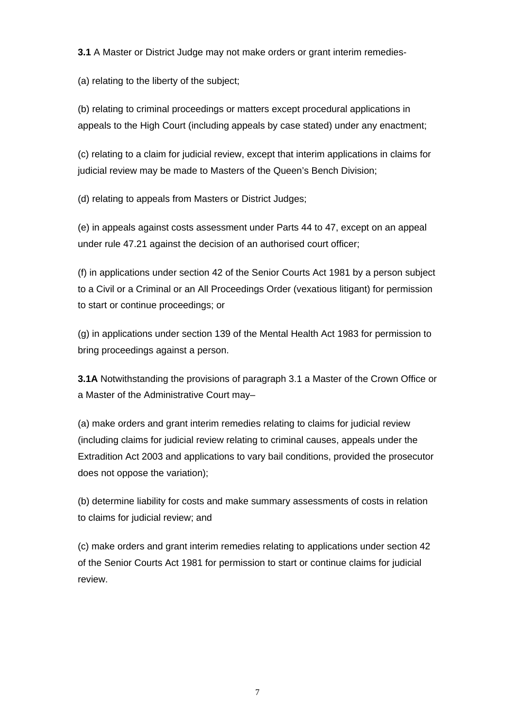**3.1** A Master or District Judge may not make orders or grant interim remedies-

(a) relating to the liberty of the subject;

(b) relating to criminal proceedings or matters except procedural applications in appeals to the High Court (including appeals by case stated) under any enactment;

(c) relating to a claim for judicial review, except that interim applications in claims for judicial review may be made to Masters of the Queen's Bench Division;

(d) relating to appeals from Masters or District Judges;

(e) in appeals against costs assessment under Parts 44 to 47, except on an appeal under rule 47.21 against the decision of an authorised court officer;

(f) in applications under section 42 of the Senior Courts Act 1981 by a person subject to a Civil or a Criminal or an All Proceedings Order (vexatious litigant) for permission to start or continue proceedings; or

(g) in applications under section 139 of the Mental Health Act 1983 for permission to bring proceedings against a person.

**3.1A** Notwithstanding the provisions of paragraph 3.1 a Master of the Crown Office or a Master of the Administrative Court may–

(a) make orders and grant interim remedies relating to claims for judicial review (including claims for judicial review relating to criminal causes, appeals under the Extradition Act 2003 and applications to vary bail conditions, provided the prosecutor does not oppose the variation);

(b) determine liability for costs and make summary assessments of costs in relation to claims for judicial review; and

(c) make orders and grant interim remedies relating to applications under section 42 of the Senior Courts Act 1981 for permission to start or continue claims for judicial review.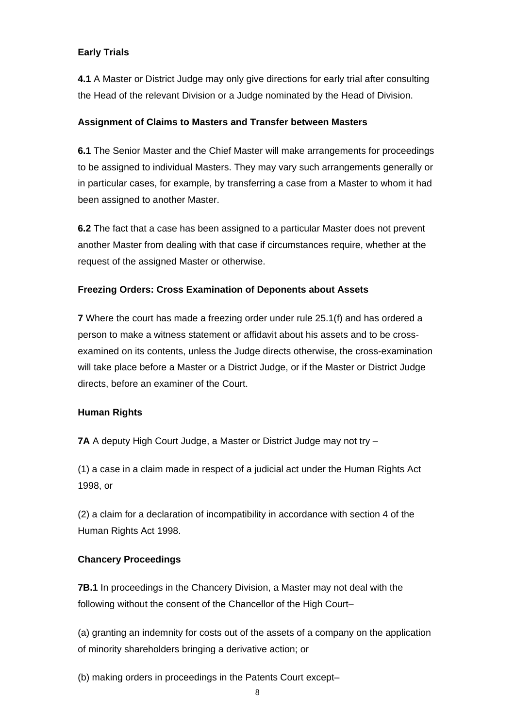# **Early Trials**

**4.1** A Master or District Judge may only give directions for early trial after consulting the Head of the relevant Division or a Judge nominated by the Head of Division.

### **Assignment of Claims to Masters and Transfer between Masters**

**6.1** The Senior Master and the Chief Master will make arrangements for proceedings to be assigned to individual Masters. They may vary such arrangements generally or in particular cases, for example, by transferring a case from a Master to whom it had been assigned to another Master.

**6.2** The fact that a case has been assigned to a particular Master does not prevent another Master from dealing with that case if circumstances require, whether at the request of the assigned Master or otherwise.

### **Freezing Orders: Cross Examination of Deponents about Assets**

**7** Where the court has made a freezing order under rule 25.1(f) and has ordered a person to make a witness statement or affidavit about his assets and to be crossexamined on its contents, unless the Judge directs otherwise, the cross-examination will take place before a Master or a District Judge, or if the Master or District Judge directs, before an examiner of the Court.

#### **Human Rights**

**7A** A deputy High Court Judge, a Master or District Judge may not try –

(1) a case in a claim made in respect of a judicial act under the Human Rights Act 1998, or

(2) a claim for a declaration of incompatibility in accordance with section 4 of the Human Rights Act 1998.

### **Chancery Proceedings**

**7B.1** In proceedings in the Chancery Division, a Master may not deal with the following without the consent of the Chancellor of the High Court–

(a) granting an indemnity for costs out of the assets of a company on the application of minority shareholders bringing a derivative action; or

(b) making orders in proceedings in the Patents Court except–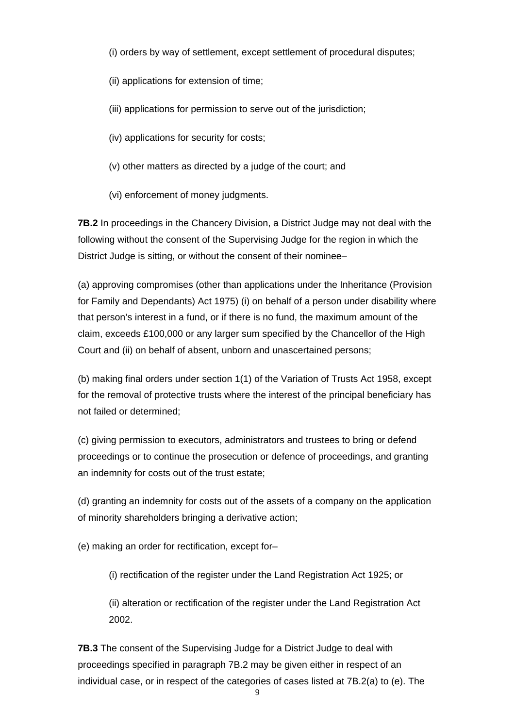(i) orders by way of settlement, except settlement of procedural disputes;

(ii) applications for extension of time;

- (iii) applications for permission to serve out of the jurisdiction;
- (iv) applications for security for costs;
- (v) other matters as directed by a judge of the court; and
- (vi) enforcement of money judgments.

**7B.2** In proceedings in the Chancery Division, a District Judge may not deal with the following without the consent of the Supervising Judge for the region in which the District Judge is sitting, or without the consent of their nominee–

(a) approving compromises (other than applications under the Inheritance (Provision for Family and Dependants) Act 1975) (i) on behalf of a person under disability where that person's interest in a fund, or if there is no fund, the maximum amount of the claim, exceeds £100,000 or any larger sum specified by the Chancellor of the High Court and (ii) on behalf of absent, unborn and unascertained persons;

(b) making final orders under section 1(1) of the Variation of Trusts Act 1958, except for the removal of protective trusts where the interest of the principal beneficiary has not failed or determined;

(c) giving permission to executors, administrators and trustees to bring or defend proceedings or to continue the prosecution or defence of proceedings, and granting an indemnity for costs out of the trust estate;

(d) granting an indemnity for costs out of the assets of a company on the application of minority shareholders bringing a derivative action;

(e) making an order for rectification, except for–

(i) rectification of the register under the Land Registration Act 1925; or

(ii) alteration or rectification of the register under the Land Registration Act 2002.

**7B.3** The consent of the Supervising Judge for a District Judge to deal with proceedings specified in paragraph 7B.2 may be given either in respect of an individual case, or in respect of the categories of cases listed at 7B.2(a) to (e). The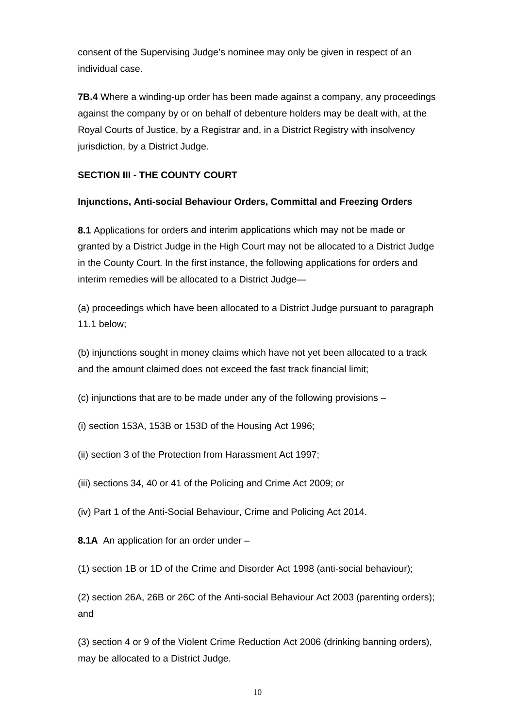consent of the Supervising Judge's nominee may only be given in respect of an individual case.

**7B.4** Where a winding-up order has been made against a company, any proceedings against the company by or on behalf of debenture holders may be dealt with, at the Royal Courts of Justice, by a Registrar and, in a District Registry with insolvency jurisdiction, by a District Judge.

### **SECTION III - THE COUNTY COURT**

#### **Injunctions, Anti-social Behaviour Orders, Committal and Freezing Orders**

**8.1** Applications for orders and interim applications which may not be made or granted by a District Judge in the High Court may not be allocated to a District Judge in the County Court. In the first instance, the following applications for orders and interim remedies will be allocated to a District Judge—

(a) proceedings which have been allocated to a District Judge pursuant to paragraph 11.1 below;

(b) injunctions sought in money claims which have not yet been allocated to a track and the amount claimed does not exceed the fast track financial limit;

(c) injunctions that are to be made under any of the following provisions –

(i) section 153A, 153B or 153D of the Housing Act 1996;

(ii) section 3 of the Protection from Harassment Act 1997;

(iii) sections 34, 40 or 41 of the Policing and Crime Act 2009; or

(iv) Part 1 of the Anti-Social Behaviour, Crime and Policing Act 2014.

**8.1A** An application for an order under –

(1) section 1B or 1D of the Crime and Disorder Act 1998 (anti-social behaviour);

(2) section 26A, 26B or 26C of the Anti-social Behaviour Act 2003 (parenting orders); and

(3) section 4 or 9 of the Violent Crime Reduction Act 2006 (drinking banning orders), may be allocated to a District Judge.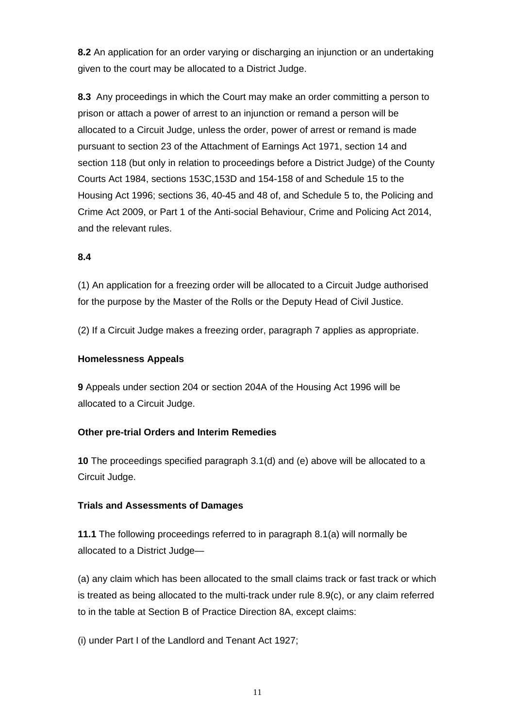**8.2** An application for an order varying or discharging an injunction or an undertaking given to the court may be allocated to a District Judge.

**8.3** Any proceedings in which the Court may make an order committing a person to prison or attach a power of arrest to an injunction or remand a person will be allocated to a Circuit Judge, unless the order, power of arrest or remand is made pursuant to section 23 of the Attachment of Earnings Act 1971, section 14 and section 118 (but only in relation to proceedings before a District Judge) of the County Courts Act 1984, sections 153C,153D and 154-158 of and Schedule 15 to the Housing Act 1996; sections 36, 40-45 and 48 of, and Schedule 5 to, the Policing and Crime Act 2009, or Part 1 of the Anti-social Behaviour, Crime and Policing Act 2014, and the relevant rules.

### **8.4**

(1) An application for a freezing order will be allocated to a Circuit Judge authorised for the purpose by the Master of the Rolls or the Deputy Head of Civil Justice.

(2) If a Circuit Judge makes a freezing order, paragraph 7 applies as appropriate.

#### **Homelessness Appeals**

**9** Appeals under section 204 or section 204A of the Housing Act 1996 will be allocated to a Circuit Judge.

#### **Other pre-trial Orders and Interim Remedies**

**10** The proceedings specified paragraph 3.1(d) and (e) above will be allocated to a Circuit Judge.

#### **Trials and Assessments of Damages**

**11.1** The following proceedings referred to in paragraph 8.1(a) will normally be allocated to a District Judge—

(a) any claim which has been allocated to the small claims track or fast track or which is treated as being allocated to the multi-track under rule 8.9(c), or any claim referred to in the table at Section B of Practice Direction 8A, except claims:

(i) under Part I of the Landlord and Tenant Act 1927;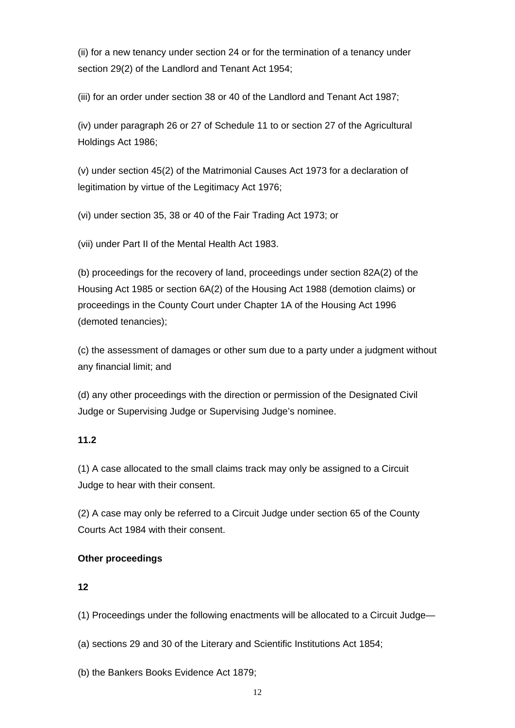(ii) for a new tenancy under section 24 or for the termination of a tenancy under section 29(2) of the Landlord and Tenant Act 1954;

(iii) for an order under section 38 or 40 of the Landlord and Tenant Act 1987;

(iv) under paragraph 26 or 27 of Schedule 11 to or section 27 of the Agricultural Holdings Act 1986;

(v) under section 45(2) of the Matrimonial Causes Act 1973 for a declaration of legitimation by virtue of the Legitimacy Act 1976;

(vi) under section 35, 38 or 40 of the Fair Trading Act 1973; or

(vii) under Part II of the Mental Health Act 1983.

(b) proceedings for the recovery of land, proceedings under section 82A(2) of the Housing Act 1985 or section 6A(2) of the Housing Act 1988 (demotion claims) or proceedings in the County Court under Chapter 1A of the Housing Act 1996 (demoted tenancies);

(c) the assessment of damages or other sum due to a party under a judgment without any financial limit; and

(d) any other proceedings with the direction or permission of the Designated Civil Judge or Supervising Judge or Supervising Judge's nominee.

### **11.2**

(1) A case allocated to the small claims track may only be assigned to a Circuit Judge to hear with their consent.

(2) A case may only be referred to a Circuit Judge under section 65 of the County Courts Act 1984 with their consent.

### **Other proceedings**

**12**

(1) Proceedings under the following enactments will be allocated to a Circuit Judge—

(a) sections 29 and 30 of the Literary and Scientific Institutions Act 1854;

(b) the Bankers Books Evidence Act 1879;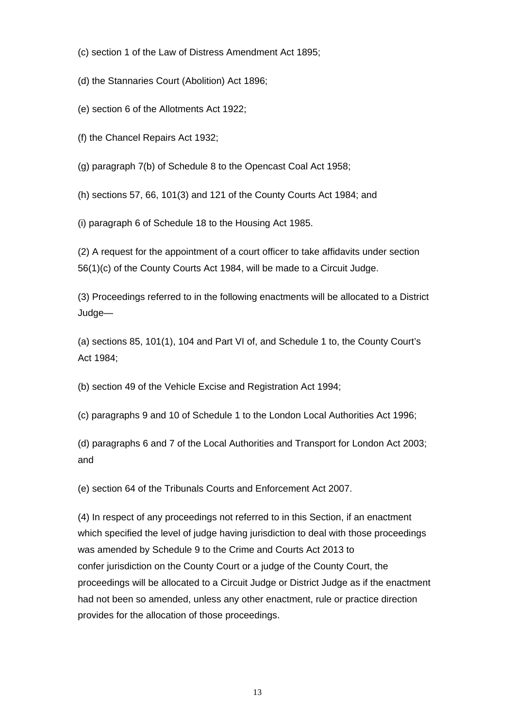- (c) section 1 of the Law of Distress Amendment Act 1895;
- (d) the Stannaries Court (Abolition) Act 1896;
- (e) section 6 of the Allotments Act 1922;
- (f) the Chancel Repairs Act 1932;
- (g) paragraph 7(b) of Schedule 8 to the Opencast Coal Act 1958;
- (h) sections 57, 66, 101(3) and 121 of the County Courts Act 1984; and
- (i) paragraph 6 of Schedule 18 to the Housing Act 1985.

(2) A request for the appointment of a court officer to take affidavits under section 56(1)(c) of the County Courts Act 1984, will be made to a Circuit Judge.

(3) Proceedings referred to in the following enactments will be allocated to a District Judge—

(a) sections 85, 101(1), 104 and Part VI of, and Schedule 1 to, the County Court's Act 1984;

(b) section 49 of the Vehicle Excise and Registration Act 1994;

(c) paragraphs 9 and 10 of Schedule 1 to the London Local Authorities Act 1996;

(d) paragraphs 6 and 7 of the Local Authorities and Transport for London Act 2003; and

(e) section 64 of the Tribunals Courts and Enforcement Act 2007.

(4) In respect of any proceedings not referred to in this Section, if an enactment which specified the level of judge having jurisdiction to deal with those proceedings was amended by Schedule 9 to the Crime and Courts Act 2013 to confer jurisdiction on the County Court or a judge of the County Court, the proceedings will be allocated to a Circuit Judge or District Judge as if the enactment had not been so amended, unless any other enactment, rule or practice direction provides for the allocation of those proceedings.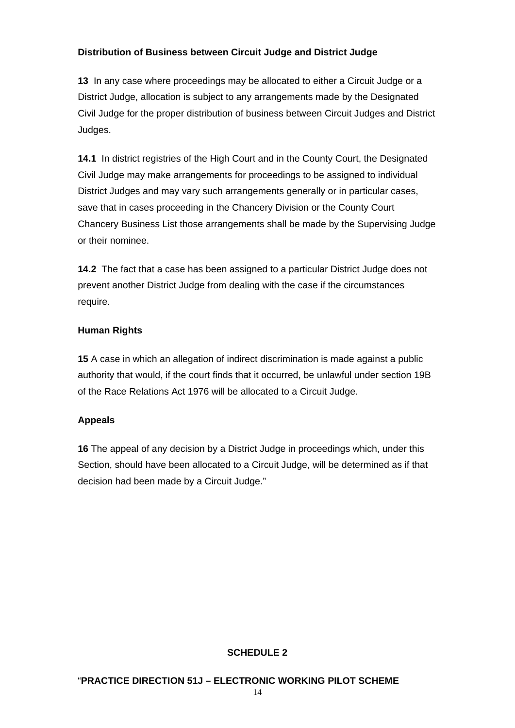# **Distribution of Business between Circuit Judge and District Judge**

**13** In any case where proceedings may be allocated to either a Circuit Judge or a District Judge, allocation is subject to any arrangements made by the Designated Civil Judge for the proper distribution of business between Circuit Judges and District Judges.

**14.1** In district registries of the High Court and in the County Court, the Designated Civil Judge may make arrangements for proceedings to be assigned to individual District Judges and may vary such arrangements generally or in particular cases, save that in cases proceeding in the Chancery Division or the County Court Chancery Business List those arrangements shall be made by the Supervising Judge or their nominee.

**14.2** The fact that a case has been assigned to a particular District Judge does not prevent another District Judge from dealing with the case if the circumstances require.

### **Human Rights**

**15** A case in which an allegation of indirect discrimination is made against a public authority that would, if the court finds that it occurred, be unlawful under section 19B of the Race Relations Act 1976 will be allocated to a Circuit Judge.

### **Appeals**

**16** The appeal of any decision by a District Judge in proceedings which, under this Section, should have been allocated to a Circuit Judge, will be determined as if that decision had been made by a Circuit Judge."

#### **SCHEDULE 2**

#### "**PRACTICE DIRECTION 51J – ELECTRONIC WORKING PILOT SCHEME**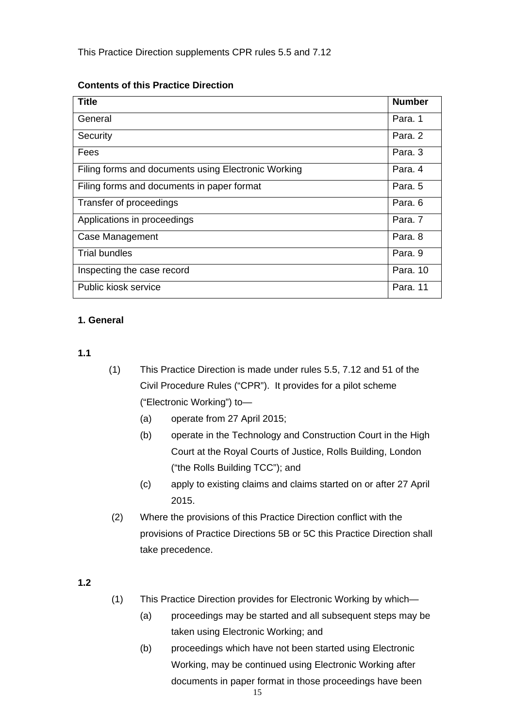This Practice Direction supplements CPR rules 5.5 and 7.12

#### **Contents of this Practice Direction**

| <b>Title</b>                                        | <b>Number</b> |
|-----------------------------------------------------|---------------|
| General                                             | Para, 1       |
| Security                                            | Para, 2       |
| Fees                                                | Para, 3       |
| Filing forms and documents using Electronic Working | Para, 4       |
| Filing forms and documents in paper format          | Para. 5       |
| Transfer of proceedings                             | Para. 6       |
| Applications in proceedings                         | Para. 7       |
| Case Management                                     | Para, 8       |
| <b>Trial bundles</b>                                | Para, 9       |
| Inspecting the case record                          | Para, 10      |
| Public kiosk service                                | Para, 11      |

#### **1. General**

#### **1.1**

- (1) This Practice Direction is made under rules 5.5, 7.12 and 51 of the Civil Procedure Rules ("CPR"). It provides for a pilot scheme ("Electronic Working") to—
	- (a) operate from 27 April 2015;
	- (b) operate in the Technology and Construction Court in the High Court at the Royal Courts of Justice, Rolls Building, London ("the Rolls Building TCC"); and
	- (c) apply to existing claims and claims started on or after 27 April 2015.
- (2) Where the provisions of this Practice Direction conflict with the provisions of Practice Directions 5B or 5C this Practice Direction shall take precedence.

### **1.2**

- (1) This Practice Direction provides for Electronic Working by which—
	- (a) proceedings may be started and all subsequent steps may be taken using Electronic Working; and
	- (b) proceedings which have not been started using Electronic Working, may be continued using Electronic Working after documents in paper format in those proceedings have been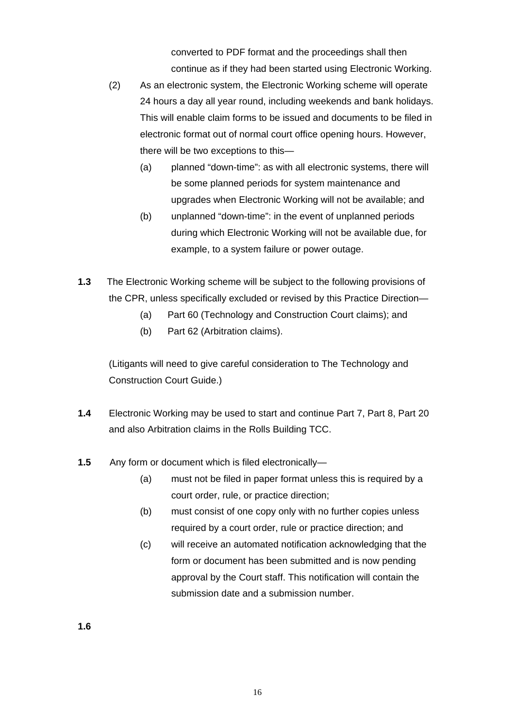converted to PDF format and the proceedings shall then continue as if they had been started using Electronic Working.

- (2) As an electronic system, the Electronic Working scheme will operate 24 hours a day all year round, including weekends and bank holidays. This will enable claim forms to be issued and documents to be filed in electronic format out of normal court office opening hours. However, there will be two exceptions to this—
	- (a) planned "down-time": as with all electronic systems, there will be some planned periods for system maintenance and upgrades when Electronic Working will not be available; and
	- (b) unplanned "down-time": in the event of unplanned periods during which Electronic Working will not be available due, for example, to a system failure or power outage.
- **1.3** The Electronic Working scheme will be subject to the following provisions of the CPR, unless specifically excluded or revised by this Practice Direction—
	- (a) Part 60 (Technology and Construction Court claims); and
	- (b) Part 62 (Arbitration claims).

(Litigants will need to give careful consideration to The Technology and Construction Court Guide.)

- **1.4** Electronic Working may be used to start and continue Part 7, Part 8, Part 20 and also Arbitration claims in the Rolls Building TCC.
- **1.5** Any form or document which is filed electronically—
	- (a) must not be filed in paper format unless this is required by a court order, rule, or practice direction;
	- (b) must consist of one copy only with no further copies unless required by a court order, rule or practice direction; and
	- (c) will receive an automated notification acknowledging that the form or document has been submitted and is now pending approval by the Court staff. This notification will contain the submission date and a submission number.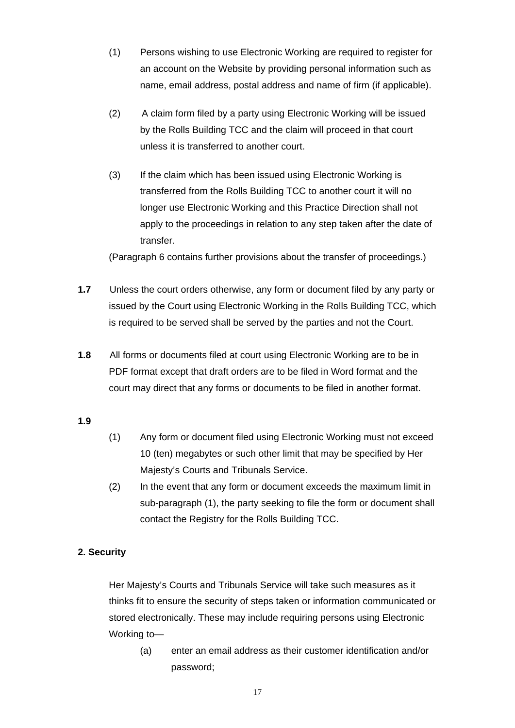- (1) Persons wishing to use Electronic Working are required to register for an account on the Website by providing personal information such as name, email address, postal address and name of firm (if applicable).
- (2) A claim form filed by a party using Electronic Working will be issued by the Rolls Building TCC and the claim will proceed in that court unless it is transferred to another court.
- (3) If the claim which has been issued using Electronic Working is transferred from the Rolls Building TCC to another court it will no longer use Electronic Working and this Practice Direction shall not apply to the proceedings in relation to any step taken after the date of transfer.

(Paragraph 6 contains further provisions about the transfer of proceedings.)

- **1.7** Unless the court orders otherwise, any form or document filed by any party or issued by the Court using Electronic Working in the Rolls Building TCC, which is required to be served shall be served by the parties and not the Court.
- **1.8** All forms or documents filed at court using Electronic Working are to be in PDF format except that draft orders are to be filed in Word format and the court may direct that any forms or documents to be filed in another format.

### **1.9**

- (1) Any form or document filed using Electronic Working must not exceed 10 (ten) megabytes or such other limit that may be specified by Her Majesty's Courts and Tribunals Service.
- (2) In the event that any form or document exceeds the maximum limit in sub-paragraph (1), the party seeking to file the form or document shall contact the Registry for the Rolls Building TCC.

### **2. Security**

Her Majesty's Courts and Tribunals Service will take such measures as it thinks fit to ensure the security of steps taken or information communicated or stored electronically. These may include requiring persons using Electronic Working to—

(a) enter an email address as their customer identification and/or password;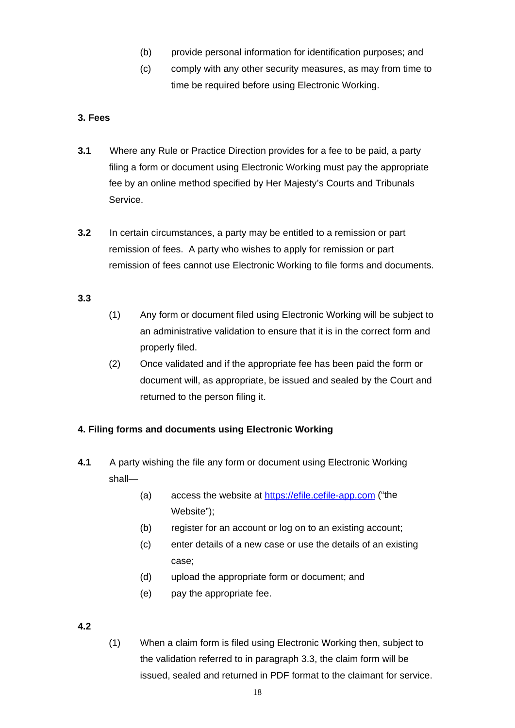- (b) provide personal information for identification purposes; and
- (c) comply with any other security measures, as may from time to time be required before using Electronic Working.

### **3. Fees**

- **3.1** Where any Rule or Practice Direction provides for a fee to be paid, a party filing a form or document using Electronic Working must pay the appropriate fee by an online method specified by Her Majesty's Courts and Tribunals Service.
- **3.2** In certain circumstances, a party may be entitled to a remission or part remission of fees. A party who wishes to apply for remission or part remission of fees cannot use Electronic Working to file forms and documents.

### **3.3**

- (1) Any form or document filed using Electronic Working will be subject to an administrative validation to ensure that it is in the correct form and properly filed.
- (2) Once validated and if the appropriate fee has been paid the form or document will, as appropriate, be issued and sealed by the Court and returned to the person filing it.

### **4. Filing forms and documents using Electronic Working**

- **4.1** A party wishing the file any form or document using Electronic Working shall—
	- (a) access the website at [https://efile.cefile-app.com](https://efile.cefile-app.com/) ("the Website");
	- (b) register for an account or log on to an existing account;
	- (c) enter details of a new case or use the details of an existing case;
	- (d) upload the appropriate form or document; and
	- (e) pay the appropriate fee.

#### **4.2**

(1) When a claim form is filed using Electronic Working then, subject to the validation referred to in paragraph 3.3, the claim form will be issued, sealed and returned in PDF format to the claimant for service.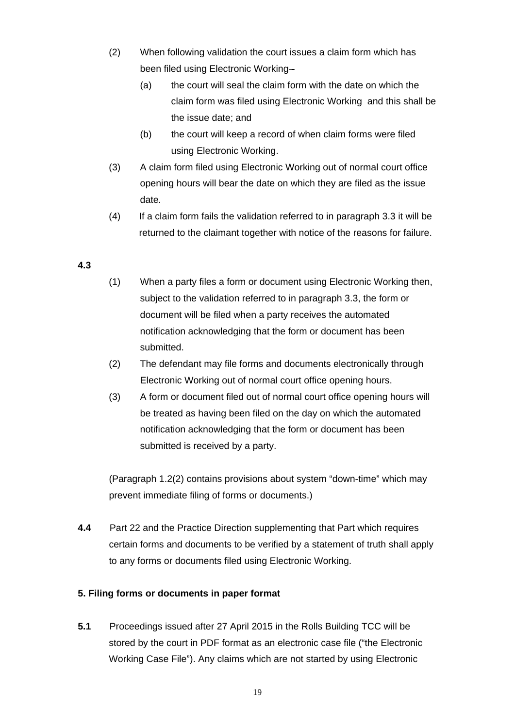- (2) When following validation the court issues a claim form which has been filed using Electronic Working-
	- (a) the court will seal the claim form with the date on which the claim form was filed using Electronic Working and this shall be the issue date; and
	- (b) the court will keep a record of when claim forms were filed using Electronic Working.
- (3) A claim form filed using Electronic Working out of normal court office opening hours will bear the date on which they are filed as the issue date*.*
- (4) If a claim form fails the validation referred to in paragraph 3.3 it will be returned to the claimant together with notice of the reasons for failure.

# **4.3**

- (1) When a party files a form or document using Electronic Working then, subject to the validation referred to in paragraph 3.3, the form or document will be filed when a party receives the automated notification acknowledging that the form or document has been submitted.
- (2) The defendant may file forms and documents electronically through Electronic Working out of normal court office opening hours.
- (3) A form or document filed out of normal court office opening hours will be treated as having been filed on the day on which the automated notification acknowledging that the form or document has been submitted is received by a party.

(Paragraph 1.2(2) contains provisions about system "down-time" which may prevent immediate filing of forms or documents.)

**4.4** Part 22 and the Practice Direction supplementing that Part which requires certain forms and documents to be verified by a statement of truth shall apply to any forms or documents filed using Electronic Working.

### **5. Filing forms or documents in paper format**

**5.1** Proceedings issued after 27 April 2015 in the Rolls Building TCC will be stored by the court in PDF format as an electronic case file ("the Electronic Working Case File"). Any claims which are not started by using Electronic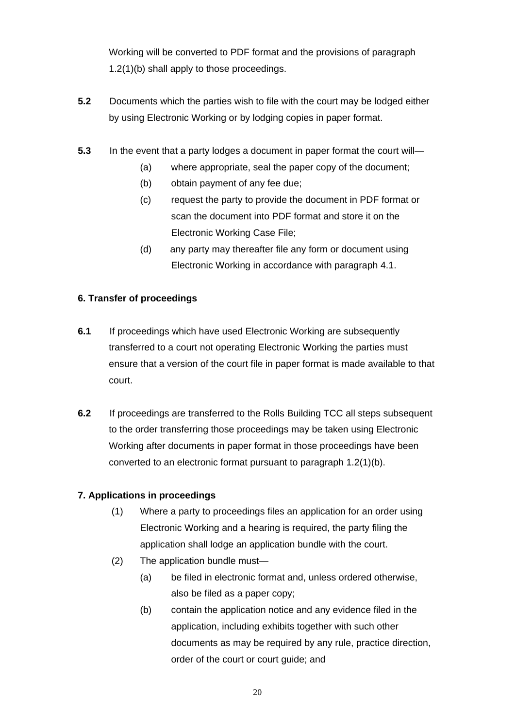Working will be converted to PDF format and the provisions of paragraph 1.2(1)(b) shall apply to those proceedings.

- **5.2** Documents which the parties wish to file with the court may be lodged either by using Electronic Working or by lodging copies in paper format.
- **5.3** In the event that a party lodges a document in paper format the court will—
	- (a) where appropriate, seal the paper copy of the document;
	- (b) obtain payment of any fee due;
	- (c) request the party to provide the document in PDF format or scan the document into PDF format and store it on the Electronic Working Case File;
	- (d) any party may thereafter file any form or document using Electronic Working in accordance with paragraph 4.1.

### **6. Transfer of proceedings**

- **6.1** If proceedings which have used Electronic Working are subsequently transferred to a court not operating Electronic Working the parties must ensure that a version of the court file in paper format is made available to that court.
- **6.2** If proceedings are transferred to the Rolls Building TCC all steps subsequent to the order transferring those proceedings may be taken using Electronic Working after documents in paper format in those proceedings have been converted to an electronic format pursuant to paragraph 1.2(1)(b).

#### **7. Applications in proceedings**

- (1) Where a party to proceedings files an application for an order using Electronic Working and a hearing is required, the party filing the application shall lodge an application bundle with the court.
- (2) The application bundle must—
	- (a) be filed in electronic format and, unless ordered otherwise, also be filed as a paper copy;
	- (b) contain the application notice and any evidence filed in the application, including exhibits together with such other documents as may be required by any rule, practice direction, order of the court or court guide; and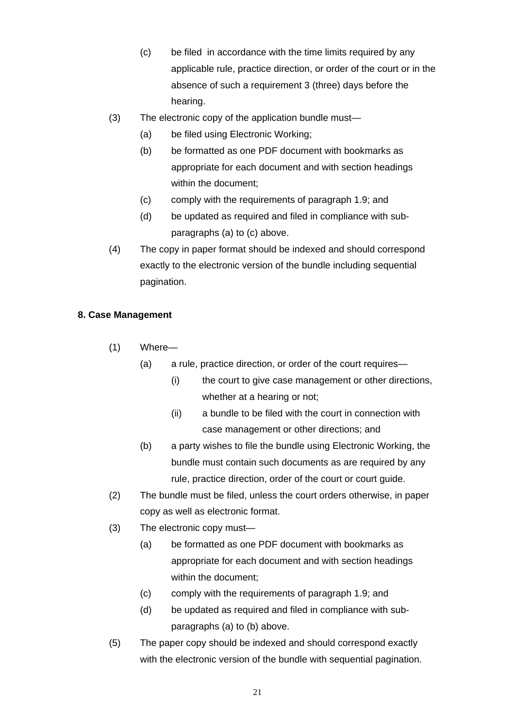- (c) be filed in accordance with the time limits required by any applicable rule, practice direction, or order of the court or in the absence of such a requirement 3 (three) days before the hearing.
- (3) The electronic copy of the application bundle must—
	- (a) be filed using Electronic Working;
	- (b) be formatted as one PDF document with bookmarks as appropriate for each document and with section headings within the document;
	- (c) comply with the requirements of paragraph 1.9; and
	- (d) be updated as required and filed in compliance with subparagraphs (a) to (c) above.
- (4) The copy in paper format should be indexed and should correspond exactly to the electronic version of the bundle including sequential pagination.

### **8. Case Management**

- (1) Where—
	- (a) a rule, practice direction, or order of the court requires—
		- (i) the court to give case management or other directions, whether at a hearing or not;
		- (ii) a bundle to be filed with the court in connection with case management or other directions; and
	- (b) a party wishes to file the bundle using Electronic Working, the bundle must contain such documents as are required by any rule, practice direction, order of the court or court guide.
- (2) The bundle must be filed, unless the court orders otherwise, in paper copy as well as electronic format.
- (3) The electronic copy must—
	- (a) be formatted as one PDF document with bookmarks as appropriate for each document and with section headings within the document;
	- (c) comply with the requirements of paragraph 1.9; and
	- (d) be updated as required and filed in compliance with subparagraphs (a) to (b) above.
- (5) The paper copy should be indexed and should correspond exactly with the electronic version of the bundle with sequential pagination.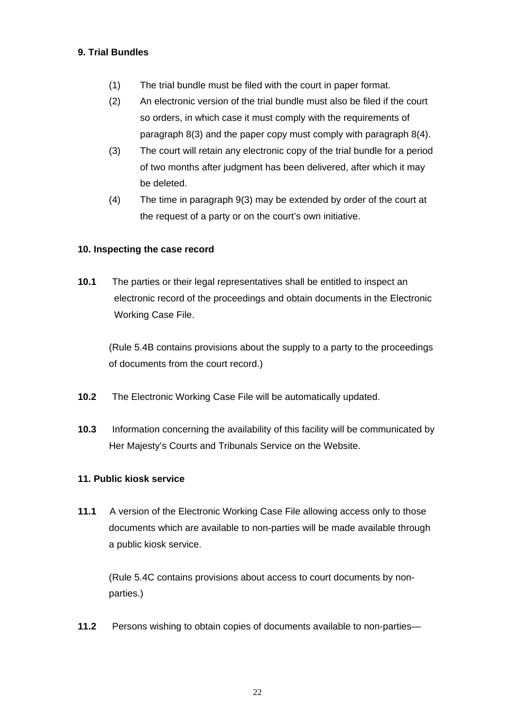### **9. Trial Bundles**

- (1) The trial bundle must be filed with the court in paper format.
- (2) An electronic version of the trial bundle must also be filed if the court so orders, in which case it must comply with the requirements of paragraph 8(3) and the paper copy must comply with paragraph 8(4).
- (3) The court will retain any electronic copy of the trial bundle for a period of two months after judgment has been delivered, after which it may be deleted.
- (4) The time in paragraph 9(3) may be extended by order of the court at the request of a party or on the court's own initiative.

### **10. Inspecting the case record**

**10.1** The parties or their legal representatives shall be entitled to inspect an electronic record of the proceedings and obtain documents in the Electronic Working Case File.

(Rule 5.4B contains provisions about the supply to a party to the proceedings of documents from the court record.)

- **10.2** The Electronic Working Case File will be automatically updated.
- **10.3** Information concerning the availability of this facility will be communicated by Her Majesty's Courts and Tribunals Service on the Website.

#### **11. Public kiosk service**

**11.1** A version of the Electronic Working Case File allowing access only to those documents which are available to non-parties will be made available through a public kiosk service.

(Rule 5.4C contains provisions about access to court documents by nonparties.)

**11.2** Persons wishing to obtain copies of documents available to non-parties—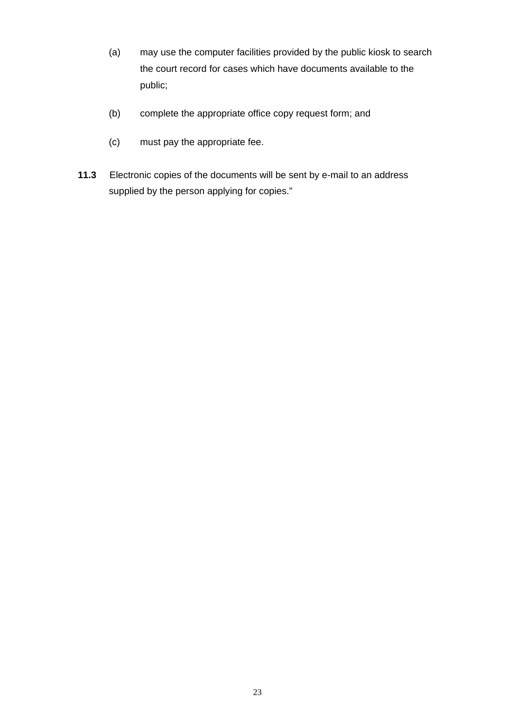- (a) may use the computer facilities provided by the public kiosk to search the court record for cases which have documents available to the public;
- (b) complete the appropriate office copy request form; and
- (c) must pay the appropriate fee.
- **11.3** Electronic copies of the documents will be sent by e-mail to an address supplied by the person applying for copies."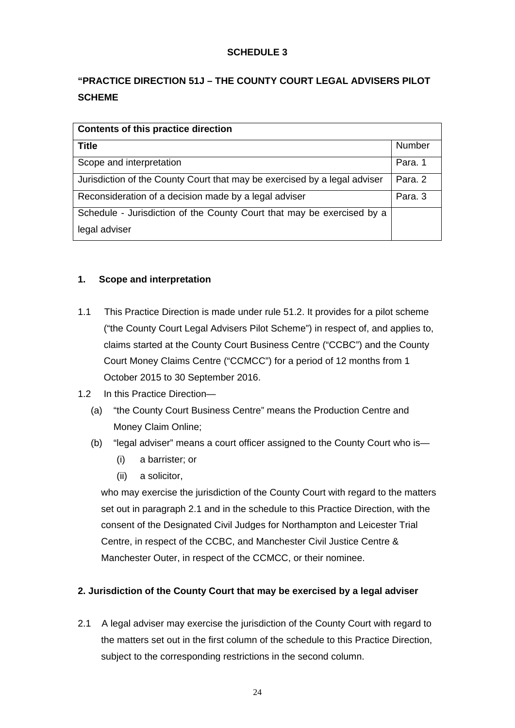### **SCHEDULE 3**

# **"PRACTICE DIRECTION 51J – THE COUNTY COURT LEGAL ADVISERS PILOT SCHEME**

| <b>Contents of this practice direction</b>                                |         |
|---------------------------------------------------------------------------|---------|
| <b>Title</b>                                                              | Number  |
| Scope and interpretation                                                  | Para. 1 |
| Jurisdiction of the County Court that may be exercised by a legal adviser | Para, 2 |
| Reconsideration of a decision made by a legal adviser                     | Para, 3 |
| Schedule - Jurisdiction of the County Court that may be exercised by a    |         |
| legal adviser                                                             |         |

### **1. Scope and interpretation**

- 1.1 This Practice Direction is made under rule 51.2. It provides for a pilot scheme ("the County Court Legal Advisers Pilot Scheme") in respect of, and applies to, claims started at the County Court Business Centre ("CCBC") and the County Court Money Claims Centre ("CCMCC") for a period of 12 months from 1 October 2015 to 30 September 2016.
- 1.2 In this Practice Direction—
	- (a) "the County Court Business Centre" means the Production Centre and Money Claim Online;
	- (b) "legal adviser" means a court officer assigned to the County Court who is—
		- (i) a barrister; or
		- (ii) a solicitor,

who may exercise the jurisdiction of the County Court with regard to the matters set out in paragraph 2.1 and in the schedule to this Practice Direction, with the consent of the Designated Civil Judges for Northampton and Leicester Trial Centre, in respect of the CCBC, and Manchester Civil Justice Centre & Manchester Outer, in respect of the CCMCC, or their nominee.

#### **2. Jurisdiction of the County Court that may be exercised by a legal adviser**

2.1 A legal adviser may exercise the jurisdiction of the County Court with regard to the matters set out in the first column of the schedule to this Practice Direction, subject to the corresponding restrictions in the second column.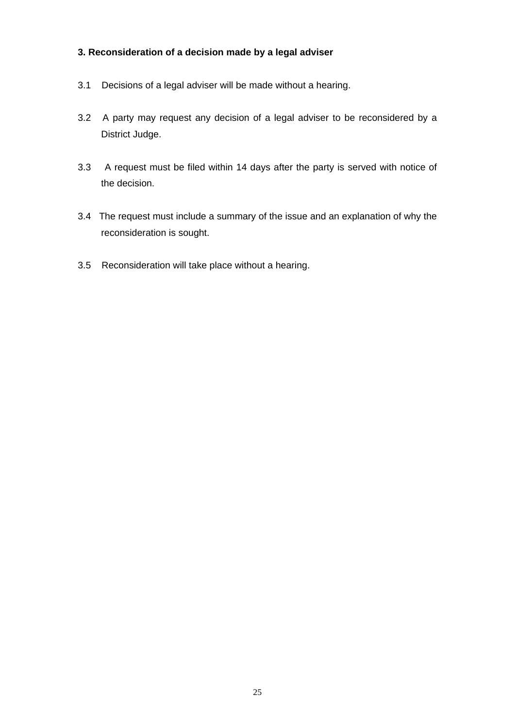### **3. Reconsideration of a decision made by a legal adviser**

- 3.1 Decisions of a legal adviser will be made without a hearing.
- 3.2 A party may request any decision of a legal adviser to be reconsidered by a District Judge.
- 3.3 A request must be filed within 14 days after the party is served with notice of the decision.
- 3.4 The request must include a summary of the issue and an explanation of why the reconsideration is sought.
- 3.5 Reconsideration will take place without a hearing.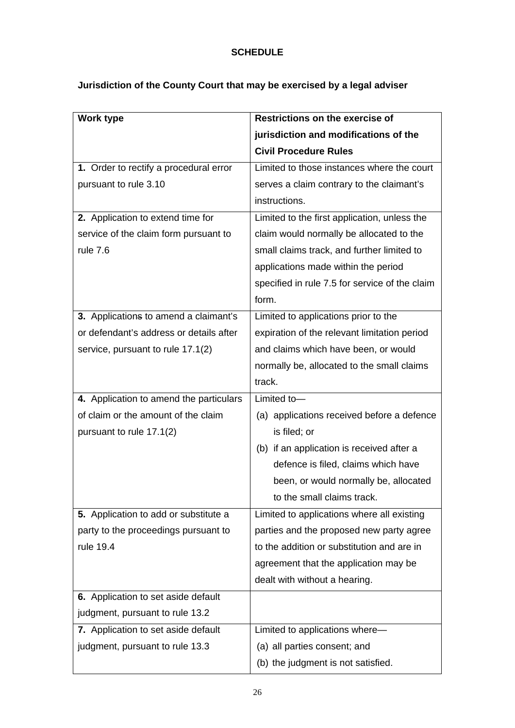# **SCHEDULE**

# **Jurisdiction of the County Court that may be exercised by a legal adviser**

| Work type                               | <b>Restrictions on the exercise of</b>         |
|-----------------------------------------|------------------------------------------------|
|                                         | jurisdiction and modifications of the          |
|                                         | <b>Civil Procedure Rules</b>                   |
| 1. Order to rectify a procedural error  | Limited to those instances where the court     |
| pursuant to rule 3.10                   | serves a claim contrary to the claimant's      |
|                                         | instructions.                                  |
| 2. Application to extend time for       | Limited to the first application, unless the   |
| service of the claim form pursuant to   | claim would normally be allocated to the       |
| rule 7.6                                | small claims track, and further limited to     |
|                                         | applications made within the period            |
|                                         | specified in rule 7.5 for service of the claim |
|                                         | form.                                          |
| 3. Applications to amend a claimant's   | Limited to applications prior to the           |
| or defendant's address or details after | expiration of the relevant limitation period   |
| service, pursuant to rule 17.1(2)       | and claims which have been, or would           |
|                                         | normally be, allocated to the small claims     |
|                                         | track.                                         |
| 4. Application to amend the particulars | Limited to-                                    |
| of claim or the amount of the claim     | (a) applications received before a defence     |
| pursuant to rule 17.1(2)                | is filed; or                                   |
|                                         | (b) if an application is received after a      |
|                                         | defence is filed, claims which have            |
|                                         | been, or would normally be, allocated          |
|                                         | to the small claims track.                     |
| 5. Application to add or substitute a   | Limited to applications where all existing     |
| party to the proceedings pursuant to    | parties and the proposed new party agree       |
| rule 19.4                               | to the addition or substitution and are in     |
|                                         | agreement that the application may be          |
|                                         | dealt with without a hearing.                  |
| 6. Application to set aside default     |                                                |
| judgment, pursuant to rule 13.2         |                                                |
| 7. Application to set aside default     | Limited to applications where-                 |
| judgment, pursuant to rule 13.3         | (a) all parties consent; and                   |
|                                         | (b) the judgment is not satisfied.             |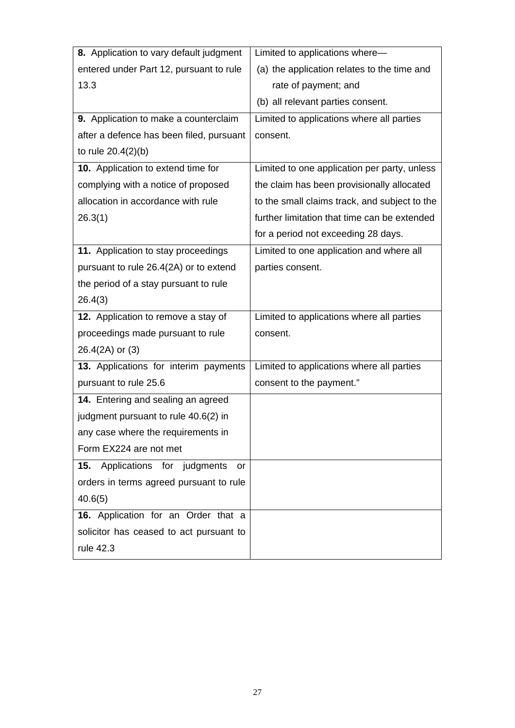| 8. Application to vary default judgment        | Limited to applications where-                |
|------------------------------------------------|-----------------------------------------------|
| entered under Part 12, pursuant to rule        | (a) the application relates to the time and   |
| 13.3                                           | rate of payment; and                          |
|                                                | (b) all relevant parties consent.             |
| 9. Application to make a counterclaim          | Limited to applications where all parties     |
| after a defence has been filed, pursuant       | consent.                                      |
| to rule $20.4(2)(b)$                           |                                               |
| 10. Application to extend time for             | Limited to one application per party, unless  |
| complying with a notice of proposed            | the claim has been provisionally allocated    |
| allocation in accordance with rule             | to the small claims track, and subject to the |
| 26.3(1)                                        | further limitation that time can be extended  |
|                                                | for a period not exceeding 28 days.           |
| 11. Application to stay proceedings            | Limited to one application and where all      |
| pursuant to rule 26.4(2A) or to extend         | parties consent.                              |
| the period of a stay pursuant to rule          |                                               |
| 26.4(3)                                        |                                               |
| 12. Application to remove a stay of            | Limited to applications where all parties     |
| proceedings made pursuant to rule              | consent.                                      |
| 26.4(2A) or (3)                                |                                               |
| 13. Applications for interim payments          | Limited to applications where all parties     |
| pursuant to rule 25.6                          | consent to the payment."                      |
| 14. Entering and sealing an agreed             |                                               |
| judgment pursuant to rule 40.6(2) in           |                                               |
| any case where the requirements in             |                                               |
| Form EX224 are not met                         |                                               |
| Applications for judgments<br>15.<br><b>or</b> |                                               |
| orders in terms agreed pursuant to rule        |                                               |
| 40.6(5)                                        |                                               |
| 16. Application for an Order that a            |                                               |
| solicitor has ceased to act pursuant to        |                                               |
| rule 42.3                                      |                                               |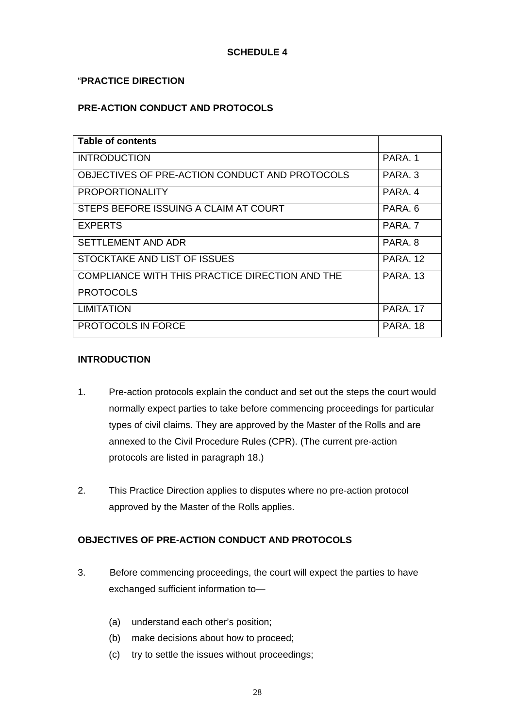### **SCHEDULE 4**

### "**PRACTICE DIRECTION**

## **PRE-ACTION CONDUCT AND PROTOCOLS**

| <b>Table of contents</b>                        |                   |
|-------------------------------------------------|-------------------|
| <b>INTRODUCTION</b>                             | PARA <sub>1</sub> |
| OBJECTIVES OF PRE-ACTION CONDUCT AND PROTOCOLS  | PARA, 3           |
| <b>PROPORTIONALITY</b>                          | PARA 4            |
| STEPS BEFORE ISSUING A CLAIM AT COURT           | PARA 6            |
| <b>EXPERTS</b>                                  | PARA <sub>2</sub> |
| <b>SETTLEMENT AND ADR</b>                       | PARA 8            |
| STOCKTAKE AND LIST OF ISSUES                    | <b>PARA 12</b>    |
| COMPLIANCE WITH THIS PRACTICE DIRECTION AND THE | <b>PARA 13</b>    |
| <b>PROTOCOLS</b>                                |                   |
| <b>LIMITATION</b>                               | <b>PARA, 17</b>   |
| <b>PROTOCOLS IN FORCE</b>                       | <b>PARA 18</b>    |

### **INTRODUCTION**

- 1. Pre-action protocols explain the conduct and set out the steps the court would normally expect parties to take before commencing proceedings for particular types of civil claims. They are approved by the Master of the Rolls and are annexed to the Civil Procedure Rules (CPR). (The current pre-action protocols are listed in paragraph 18.)
- 2. This Practice Direction applies to disputes where no pre-action protocol approved by the Master of the Rolls applies.

### **OBJECTIVES OF PRE-ACTION CONDUCT AND PROTOCOLS**

- 3. Before commencing proceedings, the court will expect the parties to have exchanged sufficient information to—
	- (a) understand each other's position;
	- (b) make decisions about how to proceed;
	- (c) try to settle the issues without proceedings;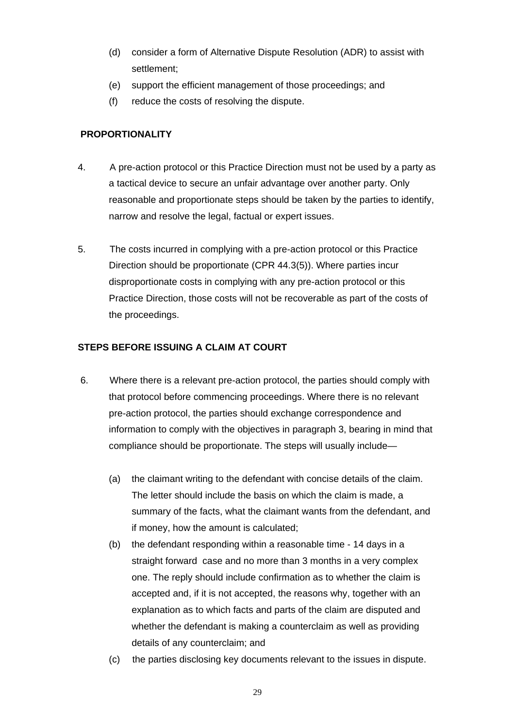- (d) consider a form of Alternative Dispute Resolution (ADR) to assist with settlement;
- (e) support the efficient management of those proceedings; and
- (f) reduce the costs of resolving the dispute.

# **PROPORTIONALITY**

- 4. A pre-action protocol or this Practice Direction must not be used by a party as a tactical device to secure an unfair advantage over another party. Only reasonable and proportionate steps should be taken by the parties to identify, narrow and resolve the legal, factual or expert issues.
- 5. The costs incurred in complying with a pre-action protocol or this Practice Direction should be proportionate (CPR 44.3(5)). Where parties incur disproportionate costs in complying with any pre-action protocol or this Practice Direction, those costs will not be recoverable as part of the costs of the proceedings.

# **STEPS BEFORE ISSUING A CLAIM AT COURT**

- 6. Where there is a relevant pre-action protocol, the parties should comply with that protocol before commencing proceedings. Where there is no relevant pre-action protocol, the parties should exchange correspondence and information to comply with the objectives in paragraph 3, bearing in mind that compliance should be proportionate. The steps will usually include—
	- (a) the claimant writing to the defendant with concise details of the claim. The letter should include the basis on which the claim is made, a summary of the facts, what the claimant wants from the defendant, and if money, how the amount is calculated;
	- (b) the defendant responding within a reasonable time 14 days in a straight forward case and no more than 3 months in a very complex one. The reply should include confirmation as to whether the claim is accepted and, if it is not accepted, the reasons why, together with an explanation as to which facts and parts of the claim are disputed and whether the defendant is making a counterclaim as well as providing details of any counterclaim; and
	- (c) the parties disclosing key documents relevant to the issues in dispute.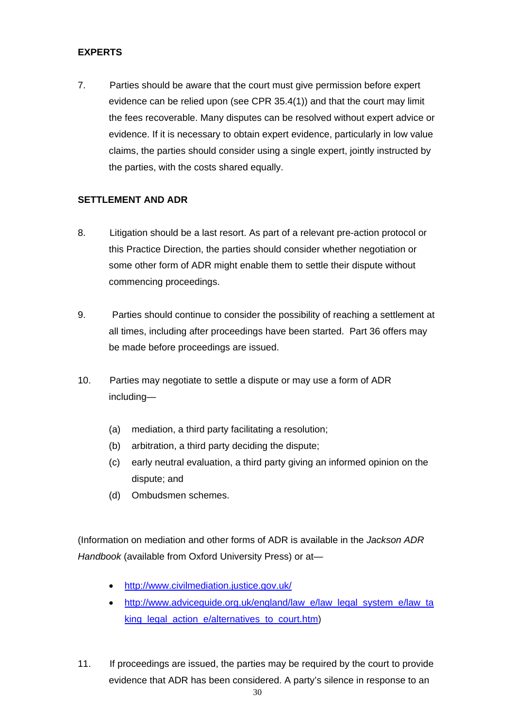# **EXPERTS**

7. Parties should be aware that the court must give permission before expert evidence can be relied upon (see CPR 35.4(1)) and that the court may limit the fees recoverable. Many disputes can be resolved without expert advice or evidence. If it is necessary to obtain expert evidence, particularly in low value claims, the parties should consider using a single expert, jointly instructed by the parties, with the costs shared equally.

### **SETTLEMENT AND ADR**

- 8. Litigation should be a last resort. As part of a relevant pre-action protocol or this Practice Direction, the parties should consider whether negotiation or some other form of ADR might enable them to settle their dispute without commencing proceedings.
- 9. Parties should continue to consider the possibility of reaching a settlement at all times, including after proceedings have been started. Part 36 offers may be made before proceedings are issued.
- 10. Parties may negotiate to settle a dispute or may use a form of ADR including—
	- (a) mediation, a third party facilitating a resolution;
	- (b) arbitration, a third party deciding the dispute;
	- (c) early neutral evaluation, a third party giving an informed opinion on the dispute; and
	- (d) Ombudsmen schemes.

(Information on mediation and other forms of ADR is available in the *Jackson ADR Handbook* (available from Oxford University Press) or at—

- <http://www.civilmediation.justice.gov.uk/>
- [http://www.adviceguide.org.uk/england/law\\_e/law\\_legal\\_system\\_e/law\\_ta](http://www.adviceguide.org.uk/england/law_e/law_legal_system_e/law_taking_legal_action_e/alternatives_to_court.htm) king legal action e/alternatives to court.htm)
- 11. If proceedings are issued, the parties may be required by the court to provide evidence that ADR has been considered. A party's silence in response to an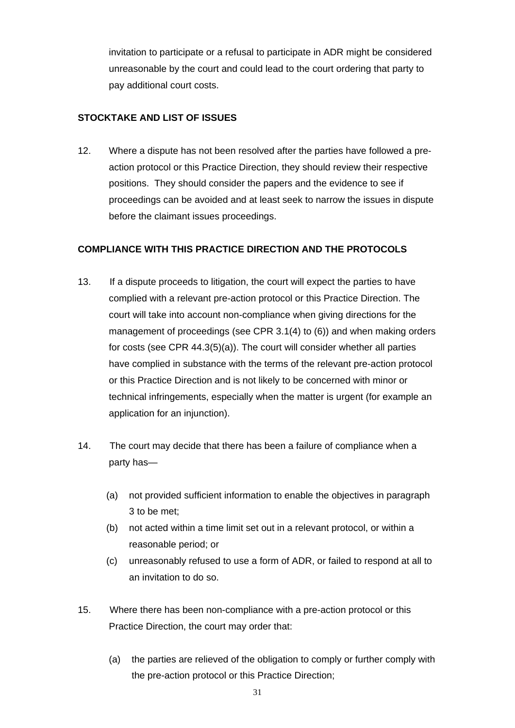invitation to participate or a refusal to participate in ADR might be considered unreasonable by the court and could lead to the court ordering that party to pay additional court costs.

## **STOCKTAKE AND LIST OF ISSUES**

12. Where a dispute has not been resolved after the parties have followed a preaction protocol or this Practice Direction, they should review their respective positions. They should consider the papers and the evidence to see if proceedings can be avoided and at least seek to narrow the issues in dispute before the claimant issues proceedings.

### **COMPLIANCE WITH THIS PRACTICE DIRECTION AND THE PROTOCOLS**

- 13. If a dispute proceeds to litigation, the court will expect the parties to have complied with a relevant pre-action protocol or this Practice Direction. The court will take into account non-compliance when giving directions for the management of proceedings (see CPR 3.1(4) to (6)) and when making orders for costs (see CPR 44.3(5)(a)). The court will consider whether all parties have complied in substance with the terms of the relevant pre-action protocol or this Practice Direction and is not likely to be concerned with minor or technical infringements, especially when the matter is urgent (for example an application for an injunction).
- 14. The court may decide that there has been a failure of compliance when a party has—
	- (a) not provided sufficient information to enable the objectives in paragraph 3 to be met;
	- (b) not acted within a time limit set out in a relevant protocol, or within a reasonable period; or
	- (c) unreasonably refused to use a form of ADR, or failed to respond at all to an invitation to do so.
- 15. Where there has been non-compliance with a pre-action protocol or this Practice Direction, the court may order that:
	- (a) the parties are relieved of the obligation to comply or further comply with the pre-action protocol or this Practice Direction;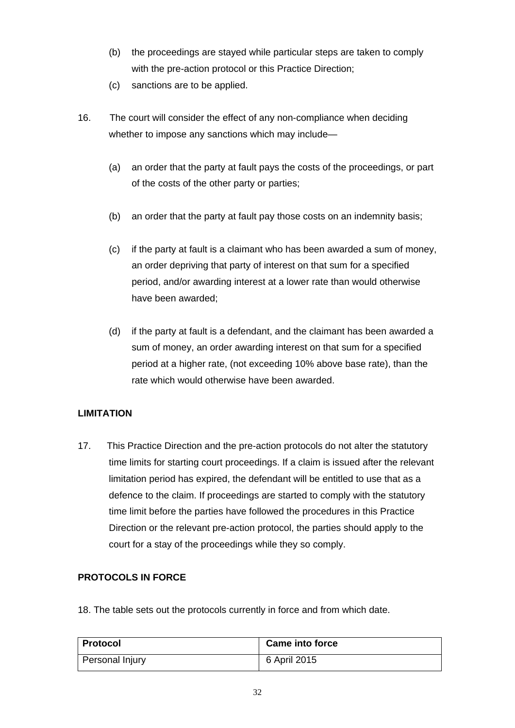- (b) the proceedings are stayed while particular steps are taken to comply with the pre-action protocol or this Practice Direction;
- (c) sanctions are to be applied.
- 16. The court will consider the effect of any non-compliance when deciding whether to impose any sanctions which may include—
	- (a) an order that the party at fault pays the costs of the proceedings, or part of the costs of the other party or parties;
	- (b) an order that the party at fault pay those costs on an indemnity basis;
	- (c) if the party at fault is a claimant who has been awarded a sum of money, an order depriving that party of interest on that sum for a specified period, and/or awarding interest at a lower rate than would otherwise have been awarded;
	- (d) if the party at fault is a defendant, and the claimant has been awarded a sum of money, an order awarding interest on that sum for a specified period at a higher rate, (not exceeding 10% above base rate), than the rate which would otherwise have been awarded.

# **LIMITATION**

17. This Practice Direction and the pre-action protocols do not alter the statutory time limits for starting court proceedings. If a claim is issued after the relevant limitation period has expired, the defendant will be entitled to use that as a defence to the claim. If proceedings are started to comply with the statutory time limit before the parties have followed the procedures in this Practice Direction or the relevant pre-action protocol, the parties should apply to the court for a stay of the proceedings while they so comply.

### **PROTOCOLS IN FORCE**

18. The table sets out the protocols currently in force and from which date.

| <b>Protocol</b> | <b>Came into force</b> |
|-----------------|------------------------|
| Personal Injury | 6 April 2015           |